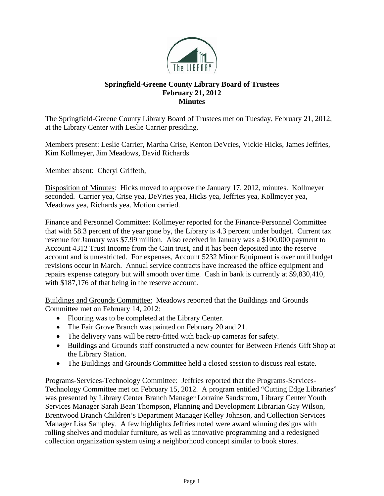

## **Springfield-Greene County Library Board of Trustees February 21, 2012 Minutes**

The Springfield-Greene County Library Board of Trustees met on Tuesday, February 21, 2012, at the Library Center with Leslie Carrier presiding.

Members present: Leslie Carrier, Martha Crise, Kenton DeVries, Vickie Hicks, James Jeffries, Kim Kollmeyer, Jim Meadows, David Richards

Member absent: Cheryl Griffeth,

Disposition of Minutes: Hicks moved to approve the January 17, 2012, minutes. Kollmeyer seconded. Carrier yea, Crise yea, DeVries yea, Hicks yea, Jeffries yea, Kollmeyer yea, Meadows yea, Richards yea. Motion carried.

Finance and Personnel Committee: Kollmeyer reported for the Finance-Personnel Committee that with 58.3 percent of the year gone by, the Library is 4.3 percent under budget. Current tax revenue for January was \$7.99 million. Also received in January was a \$100,000 payment to Account 4312 Trust Income from the Cain trust, and it has been deposited into the reserve account and is unrestricted. For expenses, Account 5232 Minor Equipment is over until budget revisions occur in March. Annual service contracts have increased the office equipment and repairs expense category but will smooth over time. Cash in bank is currently at \$9,830,410, with \$187,176 of that being in the reserve account.

Buildings and Grounds Committee: Meadows reported that the Buildings and Grounds Committee met on February 14, 2012:

- Flooring was to be completed at the Library Center.
- The Fair Grove Branch was painted on February 20 and 21.
- The delivery vans will be retro-fitted with back-up cameras for safety.
- Buildings and Grounds staff constructed a new counter for Between Friends Gift Shop at the Library Station.
- The Buildings and Grounds Committee held a closed session to discuss real estate.

Programs-Services-Technology Committee: Jeffries reported that the Programs-Services-Technology Committee met on February 15, 2012. A program entitled "Cutting Edge Libraries" was presented by Library Center Branch Manager Lorraine Sandstrom, Library Center Youth Services Manager Sarah Bean Thompson, Planning and Development Librarian Gay Wilson, Brentwood Branch Children's Department Manager Kelley Johnson, and Collection Services Manager Lisa Sampley. A few highlights Jeffries noted were award winning designs with rolling shelves and modular furniture, as well as innovative programming and a redesigned collection organization system using a neighborhood concept similar to book stores.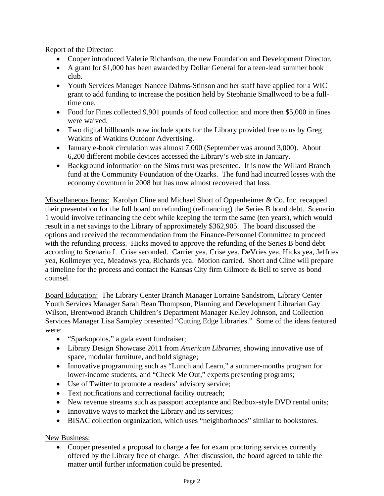Report of the Director:

- Cooper introduced Valerie Richardson, the new Foundation and Development Director.
- A grant for \$1,000 has been awarded by Dollar General for a teen-lead summer book club.
- Youth Services Manager Nancee Dahms-Stinson and her staff have applied for a WIC grant to add funding to increase the position held by Stephanie Smallwood to be a fulltime one.
- Food for Fines collected 9,901 pounds of food collection and more then \$5,000 in fines were waived.
- Two digital billboards now include spots for the Library provided free to us by Greg Watkins of Watkins Outdoor Advertising.
- January e-book circulation was almost 7,000 (September was around 3,000). About 6,200 different mobile devices accessed the Library's web site in January.
- Background information on the Sims trust was presented. It is now the Willard Branch fund at the Community Foundation of the Ozarks. The fund had incurred losses with the economy downturn in 2008 but has now almost recovered that loss.

Miscellaneous Items: Karolyn Cline and Michael Short of Oppenheimer & Co. Inc. recapped their presentation for the full board on refunding (refinancing) the Series B bond debt. Scenario 1 would involve refinancing the debt while keeping the term the same (ten years), which would result in a net savings to the Library of approximately \$362,905. The board discussed the options and received the recommendation from the Finance-Personnel Committee to proceed with the refunding process. Hicks moved to approve the refunding of the Series B bond debt according to Scenario I. Crise seconded. Carrier yea, Crise yea, DeVries yea, Hicks yea, Jeffries yea, Kollmeyer yea, Meadows yea, Richards yea. Motion carried. Short and Cline will prepare a timeline for the process and contact the Kansas City firm Gilmore & Bell to serve as bond counsel.

Board Education: The Library Center Branch Manager Lorraine Sandstrom, Library Center Youth Services Manager Sarah Bean Thompson, Planning and Development Librarian Gay Wilson, Brentwood Branch Children's Department Manager Kelley Johnson, and Collection Services Manager Lisa Sampley presented "Cutting Edge Libraries." Some of the ideas featured were:

- "Sparkopolos," a gala event fundraiser;
- Library Design Showcase 2011 from *American Libraries*, showing innovative use of space, modular furniture, and bold signage;
- Innovative programming such as "Lunch and Learn," a summer-months program for lower-income students, and "Check Me Out," experts presenting programs;
- Use of Twitter to promote a readers' advisory service;
- Text notifications and correctional facility outreach;
- New revenue streams such as passport acceptance and Redbox-style DVD rental units;
- Innovative ways to market the Library and its services;
- BISAC collection organization, which uses "neighborhoods" similar to bookstores.

New Business:

 Cooper presented a proposal to charge a fee for exam proctoring services currently offered by the Library free of charge. After discussion, the board agreed to table the matter until further information could be presented.